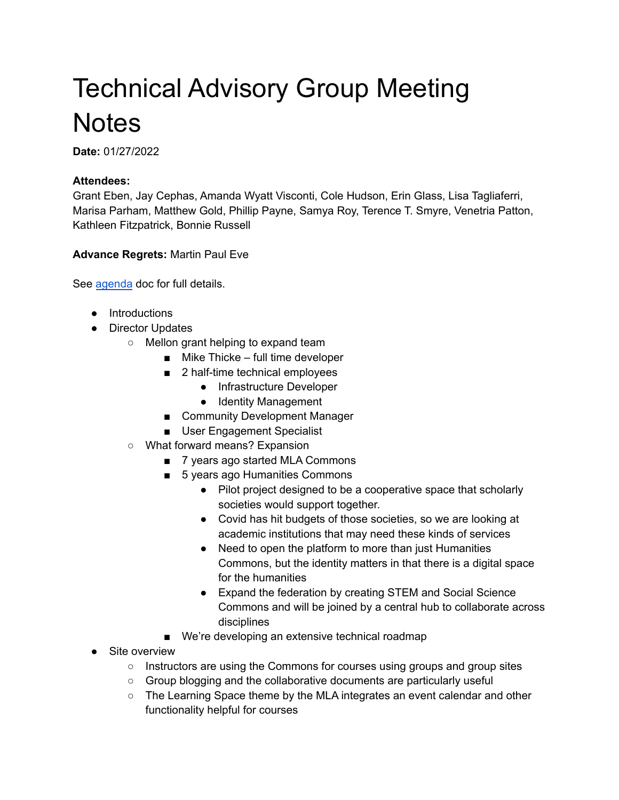## Technical Advisory Group Meeting **Notes**

**Date:** 01/27/2022

## **Attendees:**

Grant Eben, Jay Cephas, Amanda Wyatt Visconti, Cole Hudson, Erin Glass, Lisa Tagliaferri, Marisa Parham, Matthew Gold, Phillip Payne, Samya Roy, Terence T. Smyre, Venetria Patton, Kathleen Fitzpatrick, Bonnie Russell

**Advance Regrets:** Martin Paul Eve

See [agenda](https://docs.google.com/document/d/1b4RAk0itpK3j2ReKuT0cbW6vJ8iSG6OMnWFBPCPYZ2k/edit?usp=sharing) doc for full details.

- Introductions
- Director Updates
	- Mellon grant helping to expand team
		- Mike Thicke full time developer
		- 2 half-time technical employees
			- Infrastructure Developer
			- Identity Management
		- Community Development Manager
		- User Engagement Specialist
	- What forward means? Expansion
		- 7 years ago started MLA Commons
		- 5 years ago Humanities Commons
			- Pilot project designed to be a cooperative space that scholarly societies would support together.
			- Covid has hit budgets of those societies, so we are looking at academic institutions that may need these kinds of services
			- Need to open the platform to more than just Humanities Commons, but the identity matters in that there is a digital space for the humanities
			- Expand the federation by creating STEM and Social Science Commons and will be joined by a central hub to collaborate across disciplines
		- We're developing an extensive technical roadmap
- Site overview
	- Instructors are using the Commons for courses using groups and group sites
	- Group blogging and the collaborative documents are particularly useful
	- $\circ$  The Learning Space theme by the MLA integrates an event calendar and other functionality helpful for courses